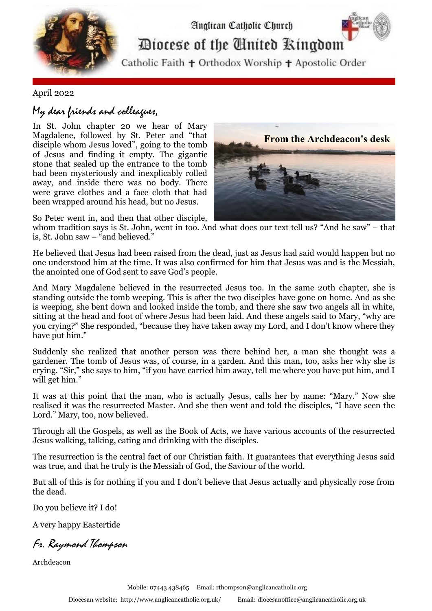

## April 2022

## My dear friends and colleagues,

In St. John chapter 20 we hear of Mary Magdalene, followed by St. Peter and "that disciple whom Jesus loved", going to the tomb of Jesus and finding it empty. The gigantic stone that sealed up the entrance to the tomb had been mysteriously and inexplicably rolled away, and inside there was no body. There were grave clothes and a face cloth that had been wrapped around his head, but no Jesus.



So Peter went in, and then that other disciple,

whom tradition says is St. John, went in too. And what does our text tell us? "And he saw" – that is, St. John saw – "and believed."

He believed that Jesus had been raised from the dead, just as Jesus had said would happen but no one understood him at the time. It was also confirmed for him that Jesus was and is the Messiah, the anointed one of God sent to save God's people.

And Mary Magdalene believed in the resurrected Jesus too. In the same 20th chapter, she is standing outside the tomb weeping. This is after the two disciples have gone on home. And as she is weeping, she bent down and looked inside the tomb, and there she saw two angels all in white, sitting at the head and foot of where Jesus had been laid. And these angels said to Mary, "why are you crying?" She responded, "because they have taken away my Lord, and I don't know where they have put him."

Suddenly she realized that another person was there behind her, a man she thought was a gardener. The tomb of Jesus was, of course, in a garden. And this man, too, asks her why she is crying. "Sir," she says to him, "if you have carried him away, tell me where you have put him, and I will get him."

It was at this point that the man, who is actually Jesus, calls her by name: "Mary." Now she realised it was the resurrected Master. And she then went and told the disciples, "I have seen the Lord." Mary, too, now believed.

Through all the Gospels, as well as the Book of Acts, we have various accounts of the resurrected Jesus walking, talking, eating and drinking with the disciples.

The resurrection is the central fact of our Christian faith. It guarantees that everything Jesus said was true, and that he truly is the Messiah of God, the Saviour of the world.

But all of this is for nothing if you and I don't believe that Jesus actually and physically rose from the dead.

Do you believe it? I do!

A very happy Eastertide

Fr. Raymond Thompson

Archdeacon